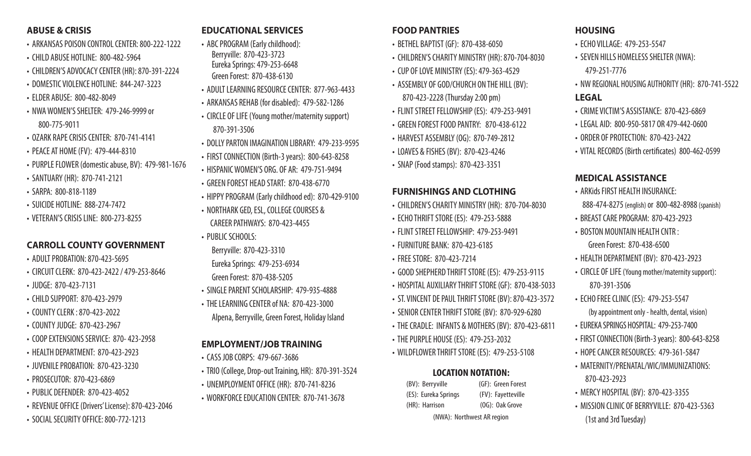#### **ABUSE & CRISIS**

- ARKANSAS POISON CONTROL CENTER: 800-222-1222
- CHILD ABUSE HOTLINE: 800-482-5964
- CHILDREN'S ADVOCACY CENTER (HR): 870-391-2224
- DOMESTIC VIOLENCE HOTLINE: 844-247-3223
- ELDER ABUSE: 800-482-8049
- NWA WOMEN'S SHELTER: 479-246-9999 or 800-775-9011
- OZARK RAPE CRISIS CENTER: 870-741-4141
- PEACE AT HOME (FV): 479-444-8310
- PURPLE FLOWER (domestic abuse, BV): 479-981-1676
- SANTUARY (HR): 870-741-2121
- SARPA: 800-818-1189
- SUICIDE HOTLINE: 888-274-7472
- VETERAN'S CRISIS LINE: 800-273-8255

#### **CARROLL COUNTY GOVERNMENT**

- ADULT PROBATION: 870-423-5695
- CIRCUIT CLERK: 870-423-2422 / 479-253-8646
- JUDGE: 870-423-7131
- CHILD SUPPORT: 870-423-2979
- COUNTY CLERK : 870-423-2022
- COUNTY JUDGE: 870-423-2967
- COOP EXTENSIONS SERVICE: 870- 423-2958
- HEALTH DEPARTMENT: 870-423-2923
- JUVENILE PROBATION: 870-423-3230
- PROSECUTOR: 870-423-6869
- PUBLIC DEFENDER: 870-423-4052
- REVENUE OFFICE (Drivers' License): 870-423-2046
- SOCIAL SECURITY OFFICE: 800-772-1213

#### **EDUCATIONAL SERVICES**

- ABC PROGRAM (Early childhood): Berryville: 870-423-3723 Eureka Springs: 479-253-6648 Green Forest: 870-438-6130
- ADULT LEARNING RESOURCE CENTER: 877-963-4433
- ARKANSAS REHAB (for disabled): 479-582-1286
- CIRCLE OF LIFE (Young mother/maternity support) 870-391-3506
- DOLLY PARTON IMAGINATION LIBRARY: 479-233-9595
- FIRST CONNECTION (Birth-3 years): 800-643-8258
- HISPANIC WOMEN'S ORG. OF AR: 479-751-9494
- GREEN FOREST HEAD START: 870-438-6770
- HIPPY PROGRAM (Early childhood ed): 870-429-9100
- NORTHARK GED, ESL, COLLEGE COURSES & CAREER PATHWAYS: 870-423-4455
- PUBLIC SCHOOLS:

 Berryville: 870-423-3310 Eureka Springs: 479-253-6934

- Green Forest: 870-438-5205
- SINGLE PARENT SCHOLARSHIP: 479-935-4888
- THE LEARNING CENTER of NA: 870-423-3000 Alpena, Berryville, Green Forest, Holiday Island

#### **EMPLOYMENT/JOB TRAINING**

- CASS JOB CORPS: 479-667-3686
- TRIO (College, Drop-out Training, HR): 870-391-3524
- UNEMPLOYMENT OFFICE (HR): 870-741-8236
- WORKFORCE EDUCATION CENTER: 870-741-3678

#### **FOOD PANTRIES**

- BETHEL BAPTIST (GF): 870-438-6050
- CHILDREN'S CHARITY MINISTRY (HR): 870-704-8030
- CUP OF LOVE MINISTRY (ES): 479-363-4529
- ASSEMBLY OF GOD/CHURCH ON THE HILL (BV): 870-423-2228 (Thursday 2:00 pm)
- FLINT STREET FELLOWSHIP (ES): 479-253-9491
- GREEN FOREST FOOD PANTRY: 870-438-6122
- HARVEST ASSEMBLY (OG): 870-749-2812
- LOAVES & FISHES (BV): 870-423-4246
- SNAP (Food stamps): 870-423-3351

#### **FURNISHINGS AND CLOTHING**

- CHILDREN'S CHARITY MINISTRY (HR): 870-704-8030
- ECHO THRIFT STORE (ES): 479-253-5888
- FLINT STREET FELLOWSHIP: 479-253-9491
- FURNITURE BANK: 870-423-6185
- FREE STORE: 870-423-7214
- GOOD SHEPHERD THRIFT STORE (ES): 479-253-9115
- HOSPITAL AUXILIARY THRIFT STORE (GF): 870-438-5033
- ST. VINCENT DE PAUL THRIFT STORE (BV): 870-423-3572
- SENIOR CENTER THRIFT STORE (BV): 870-929-6280
- THE CRADLE: INFANTS & MOTHERS (BV): 870-423-6811
- THE PURPLE HOUSE (ES): 479-253-2032
- WILDFLOWER THRIFT STORE (ES): 479-253-5108

#### **LOCATION NOTATION:**

| (BV): Berryville           | (GF): Green Forest |  |
|----------------------------|--------------------|--|
| (ES): Eureka Springs       | (FV): Fayetteville |  |
| (HR): Harrison             | $(OG):$ Oak Grove  |  |
| (NWA): Northwest AR region |                    |  |

- **HOUSING**
- FCHO VII LAGF: 479-253-5547
- SEVEN HILLS HOMELESS SHELTER (NWA): 479-251-7776
- NW REGIONAL HOUSING AUTHORITY (HR): 870-741-5522 **LEGAL**
- CRIME VICTIM'S ASSISTANCE: 870-423-6869
- LEGAL AID: 800-950-5817 OR 479-442-0600
- ORDER OF PROTECTION: 870-423-2422
- VITAL RECORDS (Birth certificates) 800-462-0599

#### **MEDICAL ASSISTANCE**

- ARKids FIRST HEALTH INSURANCE: 888-474-8275 (english) or 800-482-8988 (spanish)
- BREAST CARE PROGRAM: 870-423-2923
- BOSTON MOUNTAIN HEALTH CNTR : Green Forest: 870-438-6500
- HEALTH DEPARTMENT (BV): 870-423-2923
- CIRCLE OF LIFE (Young mother/maternity support): 870-391-3506
- ECHO FREE CLINIC (ES): 479-253-5547
- (by appointment only health, dental, vision)
- EUREKA SPRINGS HOSPITAL: 479-253-7400
- FIRST CONNECTION (Birth-3 years): 800-643-8258
- HOPE CANCER RESOURCES: 479-361-5847
- MATERNITY/PRENATAL/WIC/IMMUNIZATIONS: 870-423-2923
- MERCY HOSPITAL (BV): 870-423-3355
- MISSION CLINIC OF BERRYVILLE: 870-423-5363 (1st and 3rd Tuesday)